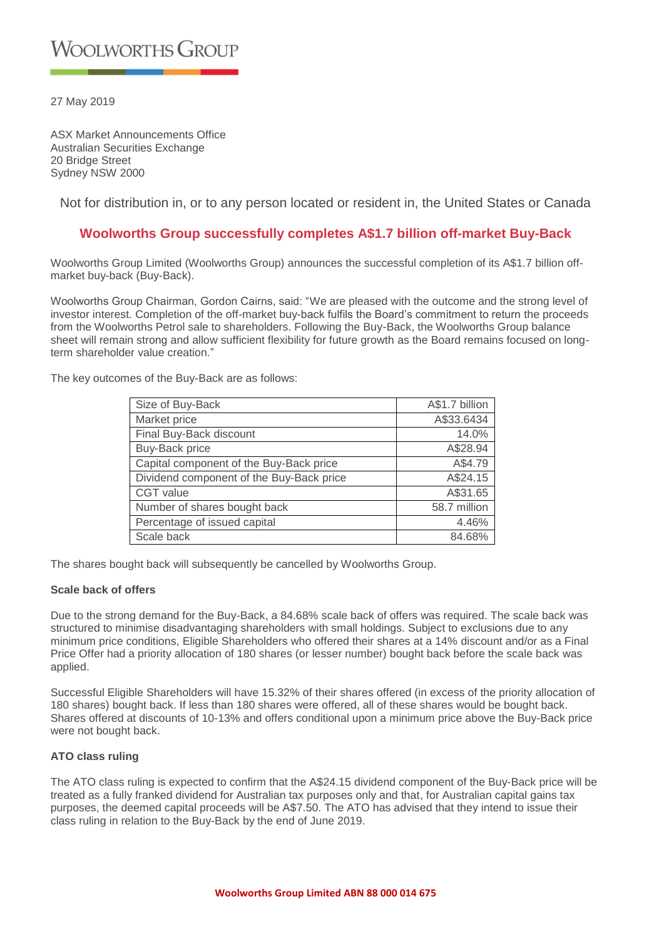27 May 2019

ASX Market Announcements Office Australian Securities Exchange 20 Bridge Street Sydney NSW 2000

Not for distribution in, or to any person located or resident in, the United States or Canada

# **Woolworths Group successfully completes A\$1.7 billion off-market Buy-Back**

Woolworths Group Limited (Woolworths Group) announces the successful completion of its A\$1.7 billion offmarket buy-back (Buy-Back).

Woolworths Group Chairman, Gordon Cairns, said: "We are pleased with the outcome and the strong level of investor interest. Completion of the off-market buy-back fulfils the Board's commitment to return the proceeds from the Woolworths Petrol sale to shareholders. Following the Buy-Back, the Woolworths Group balance sheet will remain strong and allow sufficient flexibility for future growth as the Board remains focused on longterm shareholder value creation."

The key outcomes of the Buy-Back are as follows:

| Size of Buy-Back                         | A\$1.7 billion |
|------------------------------------------|----------------|
| Market price                             | A\$33.6434     |
| Final Buy-Back discount                  | 14.0%          |
| <b>Buy-Back price</b>                    | A\$28.94       |
| Capital component of the Buy-Back price  | A\$4.79        |
| Dividend component of the Buy-Back price | A\$24.15       |
| <b>CGT</b> value                         | A\$31.65       |
| Number of shares bought back             | 58.7 million   |
| Percentage of issued capital             | 4.46%          |
| Scale back                               | 84.68%         |

The shares bought back will subsequently be cancelled by Woolworths Group.

### **Scale back of offers**

Due to the strong demand for the Buy-Back, a 84.68% scale back of offers was required. The scale back was structured to minimise disadvantaging shareholders with small holdings. Subject to exclusions due to any minimum price conditions, Eligible Shareholders who offered their shares at a 14% discount and/or as a Final Price Offer had a priority allocation of 180 shares (or lesser number) bought back before the scale back was applied.

Successful Eligible Shareholders will have 15.32% of their shares offered (in excess of the priority allocation of 180 shares) bought back. If less than 180 shares were offered, all of these shares would be bought back. Shares offered at discounts of 10-13% and offers conditional upon a minimum price above the Buy-Back price were not bought back.

### **ATO class ruling**

The ATO class ruling is expected to confirm that the A\$24.15 dividend component of the Buy-Back price will be treated as a fully franked dividend for Australian tax purposes only and that, for Australian capital gains tax purposes, the deemed capital proceeds will be A\$7.50. The ATO has advised that they intend to issue their class ruling in relation to the Buy-Back by the end of June 2019.